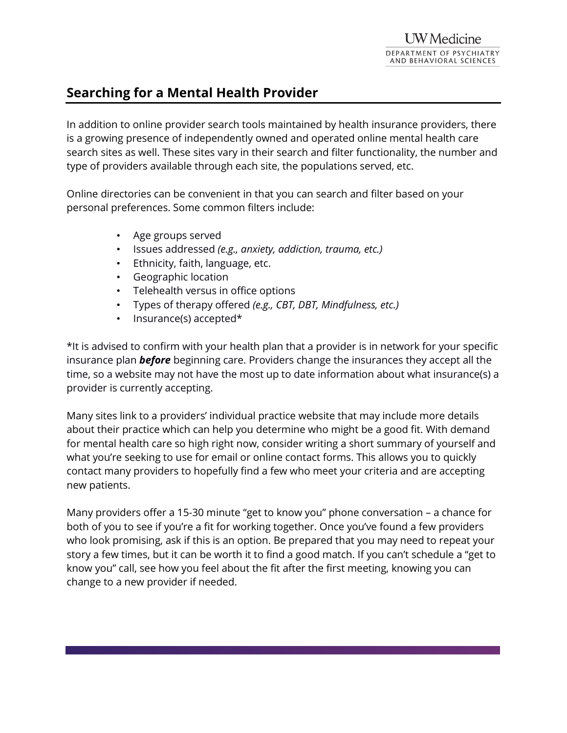## **Searching for a Mental Health Provider**

In addition to online provider search tools maintained by health insurance providers, there is a growing presence of independently owned and operated online mental health care search sites as well. These sites vary in their search and filter functionality, the number and type of providers available through each site, the populations served, etc.

Online directories can be convenient in that you can search and filter based on your personal preferences. Some common filters include:

- Age groups served
- Issues addressed *(e.g., anxiety, addiction, trauma, etc.)*
- Ethnicity, faith, language, etc.
- Geographic location
- Telehealth versus in office options
- Types of therapy offered *(e.g., CBT, DBT, Mindfulness, etc.)*
- Insurance(s) accepted\*

\*It is advised to confirm with your health plan that a provider is in network for your specific insurance plan *before* beginning care. Providers change the insurances they accept all the time, so a website may not have the most up to date information about what insurance(s) a provider is currently accepting.

Many sites link to a providers' individual practice website that may include more details about their practice which can help you determine who might be a good fit. With demand for mental health care so high right now, consider writing a short summary of yourself and what you're seeking to use for email or online contact forms. This allows you to quickly contact many providers to hopefully find a few who meet your criteria and are accepting new patients.

Many providers offer a 15-30 minute "get to know you" phone conversation – a chance for both of you to see if you're a fit for working together. Once you've found a few providers who look promising, ask if this is an option. Be prepared that you may need to repeat your story a few times, but it can be worth it to find a good match. If you can't schedule a "get to know you" call, see how you feel about the fit after the first meeting, knowing you can change to a new provider if needed.